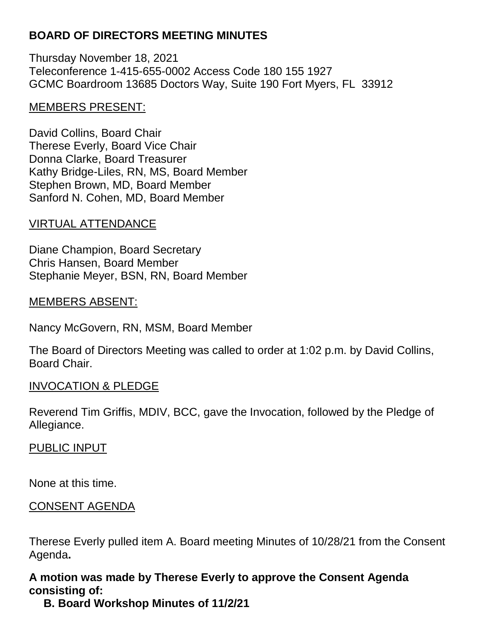## **BOARD OF DIRECTORS MEETING MINUTES**

Thursday November 18, 2021 Teleconference 1-415-655-0002 Access Code 180 155 1927 GCMC Boardroom 13685 Doctors Way, Suite 190 Fort Myers, FL 33912

### MEMBERS PRESENT:

David Collins, Board Chair Therese Everly, Board Vice Chair Donna Clarke, Board Treasurer Kathy Bridge-Liles, RN, MS, Board Member Stephen Brown, MD, Board Member Sanford N. Cohen, MD, Board Member

### VIRTUAL ATTENDANCE

Diane Champion, Board Secretary Chris Hansen, Board Member Stephanie Meyer, BSN, RN, Board Member

### MEMBERS ABSENT:

Nancy McGovern, RN, MSM, Board Member

The Board of Directors Meeting was called to order at 1:02 p.m. by David Collins, Board Chair.

### INVOCATION & PLEDGE

Reverend Tim Griffis, MDIV, BCC, gave the Invocation, followed by the Pledge of Allegiance.

### PUBLIC INPUT

None at this time.

### CONSENT AGENDA

Therese Everly pulled item A. Board meeting Minutes of 10/28/21 from the Consent Agenda**.**

## **A motion was made by Therese Everly to approve the Consent Agenda consisting of:**

**B. Board Workshop Minutes of 11/2/21**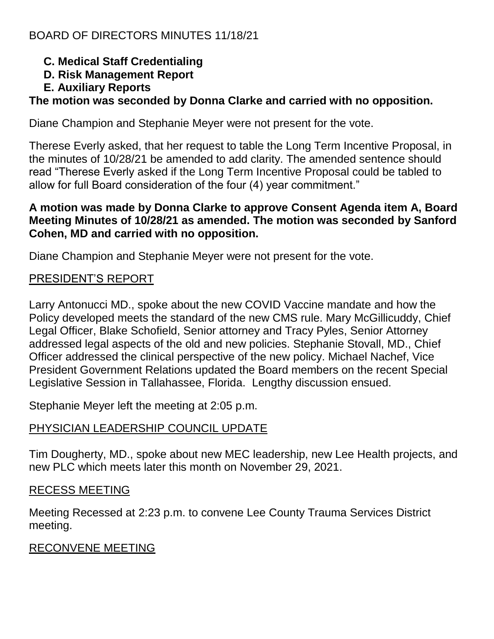- **C. Medical Staff Credentialing**
- **D. Risk Management Report**
- **E. Auxiliary Reports**

# **The motion was seconded by Donna Clarke and carried with no opposition.**

Diane Champion and Stephanie Meyer were not present for the vote.

Therese Everly asked, that her request to table the Long Term Incentive Proposal, in the minutes of 10/28/21 be amended to add clarity. The amended sentence should read "Therese Everly asked if the Long Term Incentive Proposal could be tabled to allow for full Board consideration of the four (4) year commitment."

### **A motion was made by Donna Clarke to approve Consent Agenda item A, Board Meeting Minutes of 10/28/21 as amended. The motion was seconded by Sanford Cohen, MD and carried with no opposition.**

Diane Champion and Stephanie Meyer were not present for the vote.

## PRESIDENT'S REPORT

Larry Antonucci MD., spoke about the new COVID Vaccine mandate and how the Policy developed meets the standard of the new CMS rule. Mary McGillicuddy, Chief Legal Officer, Blake Schofield, Senior attorney and Tracy Pyles, Senior Attorney addressed legal aspects of the old and new policies. Stephanie Stovall, MD., Chief Officer addressed the clinical perspective of the new policy. Michael Nachef, Vice President Government Relations updated the Board members on the recent Special Legislative Session in Tallahassee, Florida. Lengthy discussion ensued.

Stephanie Meyer left the meeting at 2:05 p.m.

## PHYSICIAN LEADERSHIP COUNCIL UPDATE

Tim Dougherty, MD., spoke about new MEC leadership, new Lee Health projects, and new PLC which meets later this month on November 29, 2021.

## RECESS MEETING

Meeting Recessed at 2:23 p.m. to convene Lee County Trauma Services District meeting.

## RECONVENE MEETING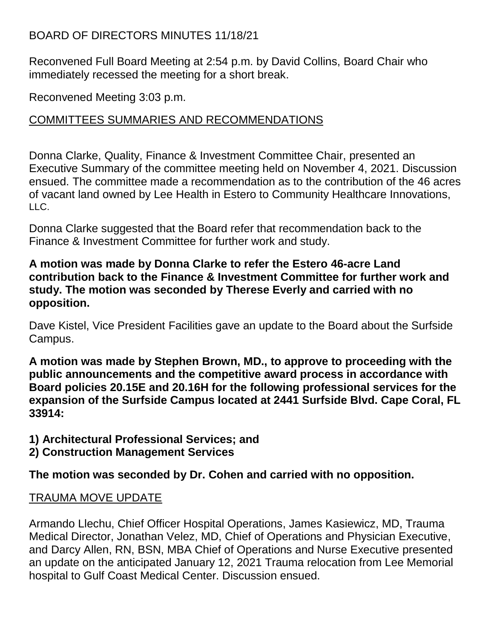## BOARD OF DIRECTORS MINUTES 11/18/21

Reconvened Full Board Meeting at 2:54 p.m. by David Collins, Board Chair who immediately recessed the meeting for a short break.

Reconvened Meeting 3:03 p.m.

### COMMITTEES SUMMARIES AND RECOMMENDATIONS

Donna Clarke, Quality, Finance & Investment Committee Chair, presented an Executive Summary of the committee meeting held on November 4, 2021. Discussion ensued. The committee made a recommendation as to the contribution of the 46 acres of vacant land owned by Lee Health in Estero to Community Healthcare Innovations, LLC.

Donna Clarke suggested that the Board refer that recommendation back to the Finance & Investment Committee for further work and study.

### **A motion was made by Donna Clarke to refer the Estero 46-acre Land contribution back to the Finance & Investment Committee for further work and study. The motion was seconded by Therese Everly and carried with no opposition.**

Dave Kistel, Vice President Facilities gave an update to the Board about the Surfside Campus.

**A motion was made by Stephen Brown, MD., to approve to proceeding with the public announcements and the competitive award process in accordance with Board policies 20.15E and 20.16H for the following professional services for the expansion of the Surfside Campus located at 2441 Surfside Blvd. Cape Coral, FL 33914:**

- **1) Architectural Professional Services; and**
- **2) Construction Management Services**

**The motion was seconded by Dr. Cohen and carried with no opposition.**

## TRAUMA MOVE UPDATE

Armando Llechu, Chief Officer Hospital Operations, James Kasiewicz, MD, Trauma Medical Director, Jonathan Velez, MD, Chief of Operations and Physician Executive, and Darcy Allen, RN, BSN, MBA Chief of Operations and Nurse Executive presented an update on the anticipated January 12, 2021 Trauma relocation from Lee Memorial hospital to Gulf Coast Medical Center. Discussion ensued.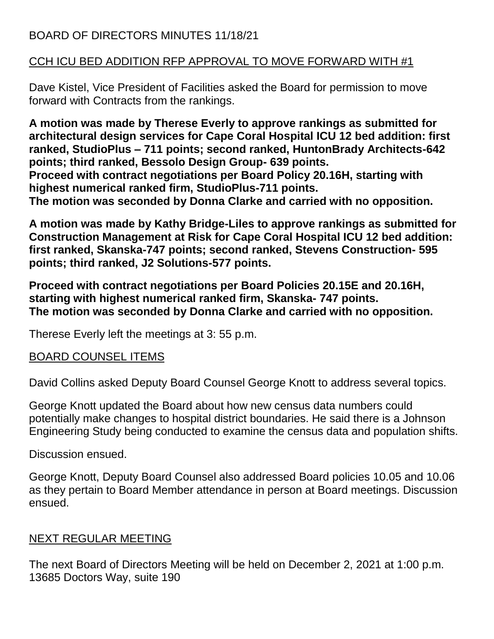## BOARD OF DIRECTORS MINUTES 11/18/21

## CCH ICU BED ADDITION RFP APPROVAL TO MOVE FORWARD WITH #1

Dave Kistel, Vice President of Facilities asked the Board for permission to move forward with Contracts from the rankings.

**A motion was made by Therese Everly to approve rankings as submitted for architectural design services for Cape Coral Hospital ICU 12 bed addition: first ranked, StudioPlus – 711 points; second ranked, HuntonBrady Architects-642 points; third ranked, Bessolo Design Group- 639 points. Proceed with contract negotiations per Board Policy 20.16H, starting with highest numerical ranked firm, StudioPlus-711 points. The motion was seconded by Donna Clarke and carried with no opposition.**

**A motion was made by Kathy Bridge-Liles to approve rankings as submitted for Construction Management at Risk for Cape Coral Hospital ICU 12 bed addition: first ranked, Skanska-747 points; second ranked, Stevens Construction- 595 points; third ranked, J2 Solutions-577 points.**

**Proceed with contract negotiations per Board Policies 20.15E and 20.16H, starting with highest numerical ranked firm, Skanska- 747 points. The motion was seconded by Donna Clarke and carried with no opposition.**

Therese Everly left the meetings at 3: 55 p.m.

### BOARD COUNSEL ITEMS

David Collins asked Deputy Board Counsel George Knott to address several topics.

George Knott updated the Board about how new census data numbers could potentially make changes to hospital district boundaries. He said there is a Johnson Engineering Study being conducted to examine the census data and population shifts.

Discussion ensued.

George Knott, Deputy Board Counsel also addressed Board policies 10.05 and 10.06 as they pertain to Board Member attendance in person at Board meetings. Discussion ensued.

## NEXT REGULAR MEETING

The next Board of Directors Meeting will be held on December 2, 2021 at 1:00 p.m. 13685 Doctors Way, suite 190